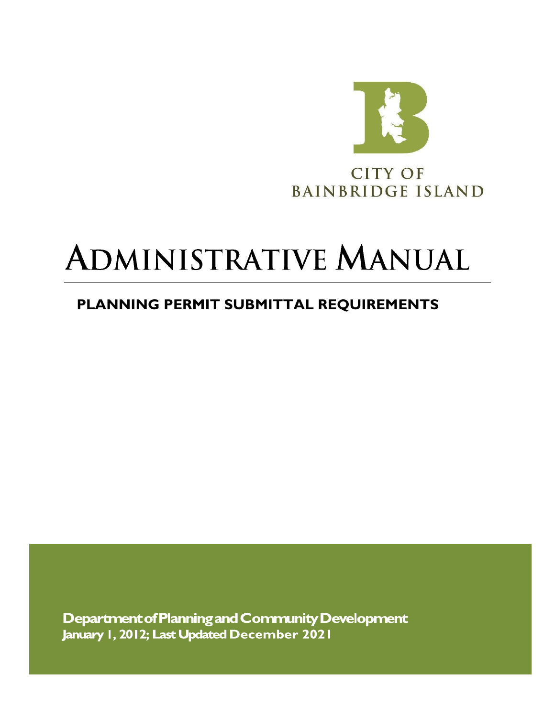

# **ADMINISTRATIVE MANUAL**

# **PLANNING PERMIT SUBMITTAL REQUIREMENTS**

Department of Planning and Community Development January I, 2012; Last Updated December 2021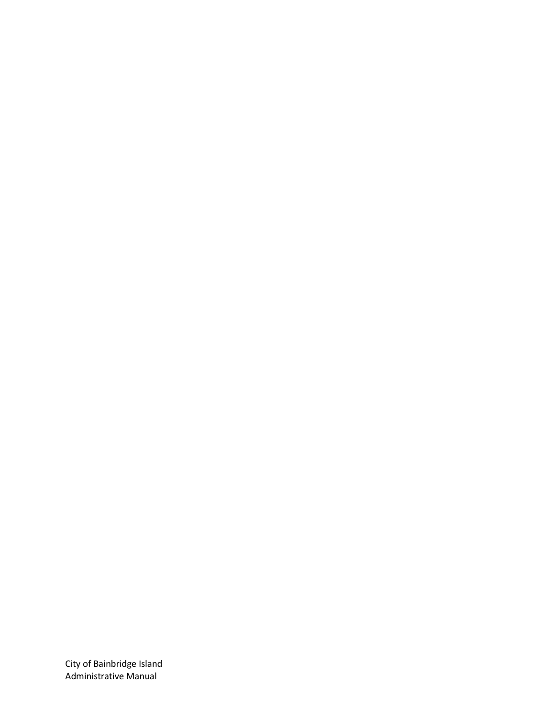City of Bainbridge Island Administrative Manual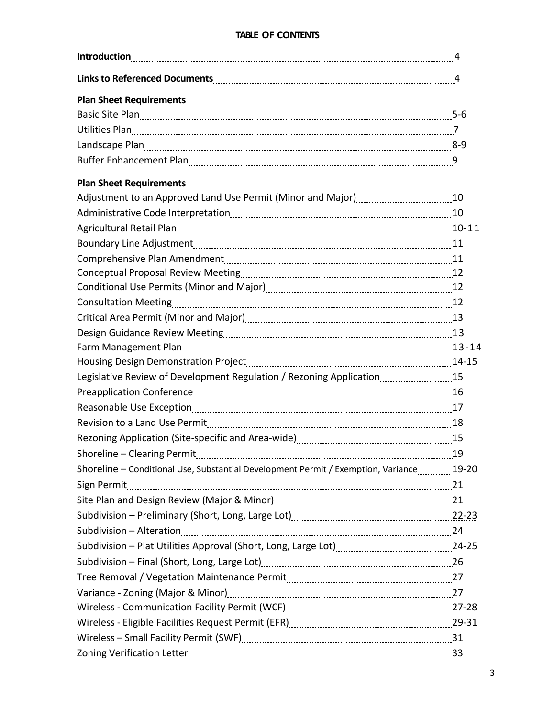#### **TABLE OF CONTENTS**

| <b>Plan Sheet Requirements</b>                                                         |    |
|----------------------------------------------------------------------------------------|----|
|                                                                                        |    |
|                                                                                        |    |
|                                                                                        |    |
|                                                                                        |    |
| <b>Plan Sheet Requirements</b>                                                         |    |
|                                                                                        |    |
|                                                                                        |    |
|                                                                                        |    |
|                                                                                        |    |
|                                                                                        |    |
|                                                                                        |    |
|                                                                                        |    |
|                                                                                        |    |
|                                                                                        |    |
|                                                                                        |    |
|                                                                                        |    |
|                                                                                        |    |
| Legislative Review of Development Regulation / Rezoning Application15                  |    |
|                                                                                        |    |
|                                                                                        |    |
|                                                                                        |    |
|                                                                                        |    |
|                                                                                        | 19 |
| Shoreline - Conditional Use, Substantial Development Permit / Exemption, Variance19-20 |    |
|                                                                                        |    |
|                                                                                        |    |
|                                                                                        |    |
|                                                                                        |    |
|                                                                                        |    |
|                                                                                        |    |
|                                                                                        |    |
|                                                                                        |    |
|                                                                                        |    |
|                                                                                        |    |
|                                                                                        |    |
|                                                                                        |    |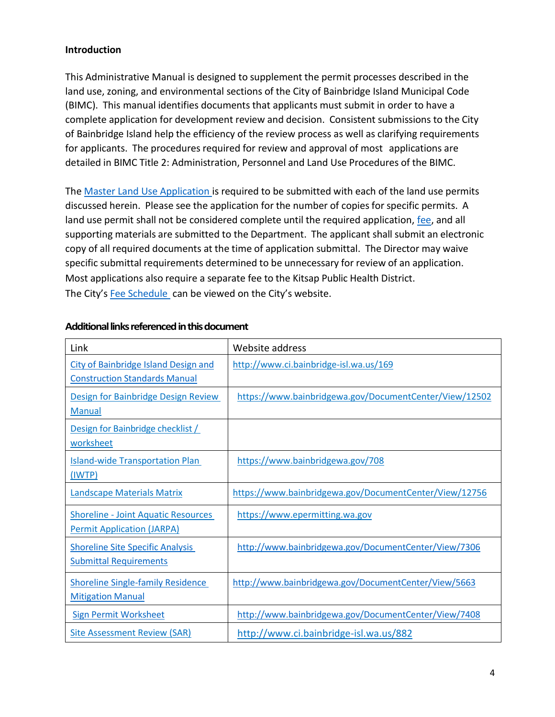#### **Introduction**

This Administrative Manual is designed to supplement the permit processes described in the land use, zoning, and environmental sections of the City of Bainbridge Island Municipal Code (BIMC). This manual identifies documents that applicants must submit in order to have a complete application for development review and decision. Consistent submissions to the City of Bainbridge Island help the efficiency of the review process as well as clarifying requirements for applicants. The procedures required for review and approval of most applications are detailed in BIMC Title 2: Administration, Personnel and Land Use Procedures of the BIMC.

The [Master Land Use](https://wa-bainbridgeisland.civicplus.com/DocumentCenter/View/7982) Application is required to be submitted with each of the land use permits discussed herein. Please see the application for the number of copies for specific permits. A land use permit shall not be considered complete until the required application, [fee,](http://www.bainbridgewa.gov/DocumentCenter/View/6152) and all supporting materials are submitted to the Department. The applicant shall submit an electronic copy of all required documents at the time of application submittal. The Director may waive specific submittal requirements determined to be unnecessary for review of an application. Most applications also require a separate fee to the Kitsap Public Health District. The City's Fee [Schedule](http://www.bainbridgewa.gov/DocumentCenter/View/10292/Fee-Schedule-?bidId) can be viewed on the City's website.

| Link                                                                                | Website address                                        |
|-------------------------------------------------------------------------------------|--------------------------------------------------------|
| <b>City of Bainbridge Island Design and</b><br><b>Construction Standards Manual</b> | http://www.ci.bainbridge-isl.wa.us/169                 |
| Design for Bainbridge Design Review<br><b>Manual</b>                                | https://www.bainbridgewa.gov/DocumentCenter/View/12502 |
| Design for Bainbridge checklist /<br>worksheet                                      |                                                        |
| <b>Island-wide Transportation Plan</b><br>(IWTP)                                    | https://www.bainbridgewa.gov/708                       |
| <b>Landscape Materials Matrix</b>                                                   | https://www.bainbridgewa.gov/DocumentCenter/View/12756 |
| <b>Shoreline - Joint Aquatic Resources</b><br><b>Permit Application (JARPA)</b>     | https://www.epermitting.wa.gov                         |
| <b>Shoreline Site Specific Analysis</b><br><b>Submittal Requirements</b>            | http://www.bainbridgewa.gov/DocumentCenter/View/7306   |
| <b>Shoreline Single-family Residence</b><br><b>Mitigation Manual</b>                | http://www.bainbridgewa.gov/DocumentCenter/View/5663   |
| <b>Sign Permit Worksheet</b>                                                        | http://www.bainbridgewa.gov/DocumentCenter/View/7408   |
| <b>Site Assessment Review (SAR)</b>                                                 | http://www.ci.bainbridge-isl.wa.us/882                 |

#### **Additional links referenced in this document**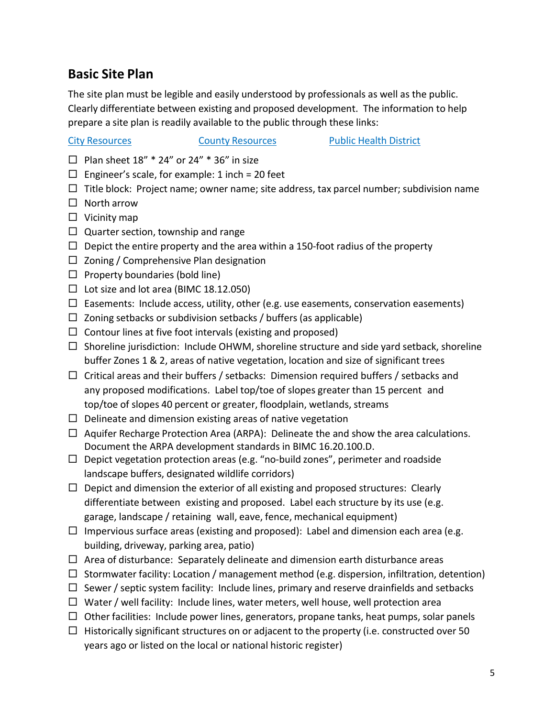# **Basic Site Plan**

The site plan must be legible and easily understood by professionals as well as the public. Clearly differentiate between existing and proposed development. The information to help prepare a site plan is readily available to the public through these links:

City [Resources](http://www.ci.bainbridge-isl.wa.us/http:/www.ci.bainbridge-isl.wa.us/) County [Resources](https://www.kitsapgov.com/) Public Health [District](https://kitsappublichealth.org/)

- $\Box$  Plan sheet 18" \* 24" or 24" \* 36" in size
- $\Box$  Engineer's scale, for example: 1 inch = 20 feet
- $\Box$  Title block: Project name; owner name; site address, tax parcel number; subdivision name
- $\Box$  North arrow
- $\square$  Vicinity map
- $\Box$  Quarter section, township and range
- $\Box$  Depict the entire property and the area within a 150-foot radius of the property
- $\Box$  Zoning / Comprehensive Plan designation
- $\Box$  Property boundaries (bold line)
- $\Box$  Lot size and lot area (BIMC 18.12.050)
- $\Box$  Easements: Include access, utility, other (e.g. use easements, conservation easements)
- $\Box$  Zoning setbacks or subdivision setbacks / buffers (as applicable)
- $\Box$  Contour lines at five foot intervals (existing and proposed)
- $\Box$  Shoreline jurisdiction: Include OHWM, shoreline structure and side yard setback, shoreline buffer Zones 1 & 2, areas of native vegetation, location and size of significant trees
- $\Box$  Critical areas and their buffers / setbacks: Dimension required buffers / setbacks and any proposed modifications. Label top/toe of slopes greater than 15 percent and top/toe of slopes 40 percent or greater, floodplain, wetlands, streams
- $\Box$  Delineate and dimension existing areas of native vegetation
- $\Box$  Aquifer Recharge Protection Area (ARPA): Delineate the and show the area calculations. Document the ARPA development standards in BIMC 16.20.100.D.
- $\Box$  Depict vegetation protection areas (e.g. "no-build zones", perimeter and roadside landscape buffers, designated wildlife corridors)
- $\Box$  Depict and dimension the exterior of all existing and proposed structures: Clearly differentiate between existing and proposed. Label each structure by its use (e.g. garage, landscape / retaining wall, eave, fence, mechanical equipment)
- $\Box$  Impervious surface areas (existing and proposed): Label and dimension each area (e.g. building, driveway, parking area, patio)
- $\Box$  Area of disturbance: Separately delineate and dimension earth disturbance areas
- $\Box$  Stormwater facility: Location / management method (e.g. dispersion, infiltration, detention)
- $\Box$  Sewer / septic system facility: Include lines, primary and reserve drainfields and setbacks
- $\Box$  Water / well facility: Include lines, water meters, well house, well protection area
- $\Box$  Other facilities: Include power lines, generators, propane tanks, heat pumps, solar panels
- $\Box$  Historically significant structures on or adjacent to the property (i.e. constructed over 50 years ago or listed on the local or national historic register)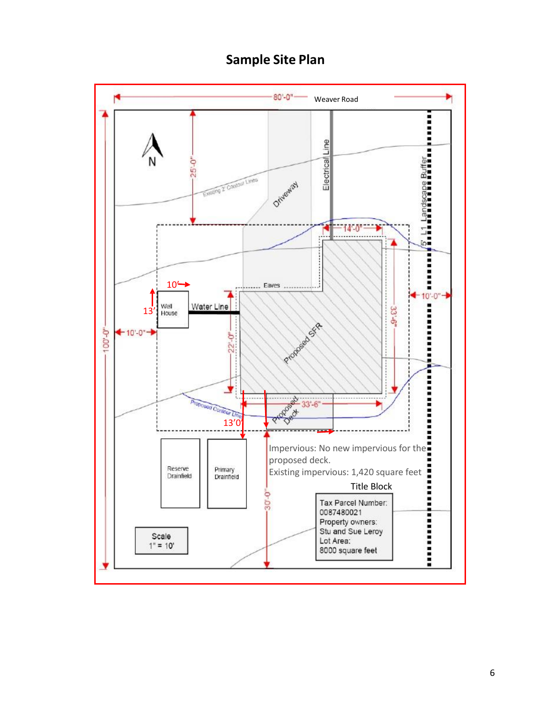

#### **Sample Site Plan**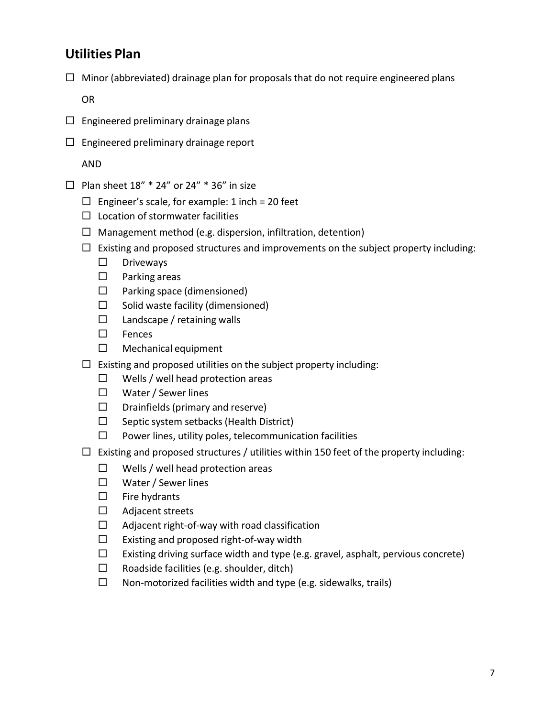# **Utilities Plan**

 $\Box$  Minor (abbreviated) drainage plan for proposals that do not require engineered plans

OR

- $\square$  Engineered preliminary drainage plans
- $\square$  Engineered preliminary drainage report

AND

- $\Box$  Plan sheet 18" \* 24" or 24" \* 36" in size
	- $\Box$  Engineer's scale, for example: 1 inch = 20 feet
	- $\square$  Location of stormwater facilities
	- $\Box$  Management method (e.g. dispersion, infiltration, detention)
	- $\Box$  Existing and proposed structures and improvements on the subject property including:
		- $\square$  Driveways
		- $\square$  Parking areas
		- $\Box$  Parking space (dimensioned)
		- $\square$  Solid waste facility (dimensioned)
		- $\square$  Landscape / retaining walls
		- $\square$  Fences
		- □ Mechanical equipment
	- $\Box$  Existing and proposed utilities on the subject property including:
		- $\Box$  Wells / well head protection areas
		- □ Water / Sewer lines
		- $\Box$  Drainfields (primary and reserve)
		- $\Box$  Septic system setbacks (Health District)
		- $\square$  Power lines, utility poles, telecommunication facilities
	- $\Box$  Existing and proposed structures / utilities within 150 feet of the property including:
		- $\Box$  Wells / well head protection areas
		- □ Water / Sewer lines
		- $\square$  Fire hydrants
		- $\Box$  Adjacent streets
		- $\Box$  Adjacent right-of-way with road classification
		- $\square$  Existing and proposed right-of-way width
		- $\square$  Existing driving surface width and type (e.g. gravel, asphalt, pervious concrete)
		- $\square$  Roadside facilities (e.g. shoulder, ditch)
		- $\Box$  Non-motorized facilities width and type (e.g. sidewalks, trails)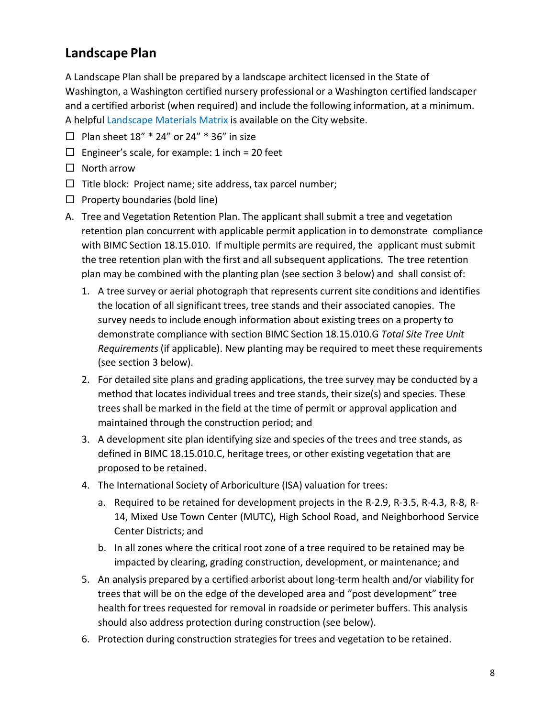#### **Landscape Plan**

A Landscape Plan shall be prepared by a landscape architect licensed in the State of Washington, a Washington certified nursery professional or a Washington certified landscaper and a certified arborist (when required) and include the following information, at a minimum. A helpful [Landscape Materials Matrix](https://www.bainbridgewa.gov/DocumentCenter/View/12756/Landscape-Materials-Matrix) is available on the City website.

- $\Box$  Plan sheet 18" \* 24" or 24" \* 36" in size
- $\Box$  Engineer's scale, for example: 1 inch = 20 feet
- $\Box$  North arrow
- $\Box$  Title block: Project name; site address, tax parcel number;
- $\Box$  Property boundaries (bold line)
- A. Tree and Vegetation Retention Plan. The applicant shall submit a tree and vegetation retention plan concurrent with applicable permit application in to demonstrate compliance with BIMC Section 18.15.010. If multiple permits are required, the applicant must submit the tree retention plan with the first and all subsequent applications. The tree retention plan may be combined with the planting plan (see section 3 below) and shall consist of:
	- 1. A tree survey or aerial photograph that represents current site conditions and identifies the location of all significant trees, tree stands and their associated canopies. The survey needs to include enough information about existing trees on a property to demonstrate compliance with section BIMC Section 18.15.010.G *Total Site Tree Unit Requirements* (if applicable). New planting may be required to meet these requirements (see section 3 below).
	- 2. For detailed site plans and grading applications, the tree survey may be conducted by a method that locates individual trees and tree stands, their size(s) and species. These trees shall be marked in the field at the time of permit or approval application and maintained through the construction period; and
	- 3. A development site plan identifying size and species of the trees and tree stands, as defined in BIMC 18.15.010.C, heritage trees, or other existing vegetation that are proposed to be retained.
	- 4. The International Society of Arboriculture (ISA) valuation for trees:
		- a. Required to be retained for development projects in the R-2.9, R-3.5, R-4.3, R-8, R-14, Mixed Use Town Center (MUTC), High School Road, and Neighborhood Service Center Districts; and
		- b. In all zones where the critical root zone of a tree required to be retained may be impacted by clearing, grading construction, development, or maintenance; and
	- 5. An analysis prepared by a certified arborist about long-term health and/or viability for trees that will be on the edge of the developed area and "post development" tree health for trees requested for removal in roadside or perimeter buffers. This analysis should also address protection during construction (see below).
	- 6. Protection during construction strategies for trees and vegetation to be retained.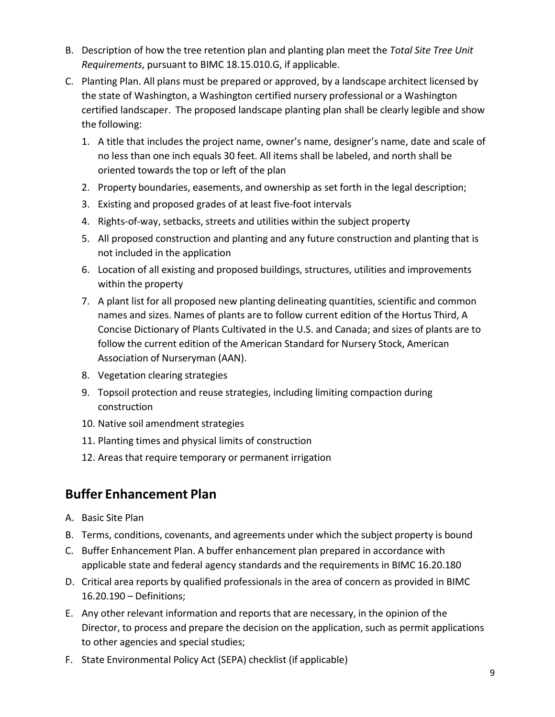- B. Description of how the tree retention plan and planting plan meet the *Total Site Tree Unit Requirements*, pursuant to BIMC 18.15.010.G, if applicable.
- C. Planting Plan. All plans must be prepared or approved, by a landscape architect licensed by the state of Washington, a Washington certified nursery professional or a Washington certified landscaper. The proposed landscape planting plan shall be clearly legible and show the following:
	- 1. A title that includes the project name, owner's name, designer's name, date and scale of no less than one inch equals 30 feet. All items shall be labeled, and north shall be oriented towards the top or left of the plan
	- 2. Property boundaries, easements, and ownership as set forth in the legal description;
	- 3. Existing and proposed grades of at least five-foot intervals
	- 4. Rights-of-way, setbacks, streets and utilities within the subject property
	- 5. All proposed construction and planting and any future construction and planting that is not included in the application
	- 6. Location of all existing and proposed buildings, structures, utilities and improvements within the property
	- 7. A plant list for all proposed new planting delineating quantities, scientific and common names and sizes. Names of plants are to follow current edition of the Hortus Third, A Concise Dictionary of Plants Cultivated in the U.S. and Canada; and sizes of plants are to follow the current edition of the American Standard for Nursery Stock, American Association of Nurseryman (AAN).
	- 8. Vegetation clearing strategies
	- 9. Topsoil protection and reuse strategies, including limiting compaction during construction
	- 10. Native soil amendment strategies
	- 11. Planting times and physical limits of construction
	- 12. Areas that require temporary or permanent irrigation

# **Buffer Enhancement Plan**

- A. Basic Site Plan
- B. Terms, conditions, covenants, and agreements under which the subject property is bound
- C. Buffer Enhancement Plan. A buffer enhancement plan prepared in accordance with applicable state and federal agency standards and the requirements in BIMC 16.20.180
- D. Critical area reports by qualified professionals in the area of concern as provided in BIMC 16.20.190 – Definitions;
- E. Any other relevant information and reports that are necessary, in the opinion of the Director, to process and prepare the decision on the application, such as permit applications to other agencies and special studies;
- F. State Environmental Policy Act (SEPA) checklist (if applicable)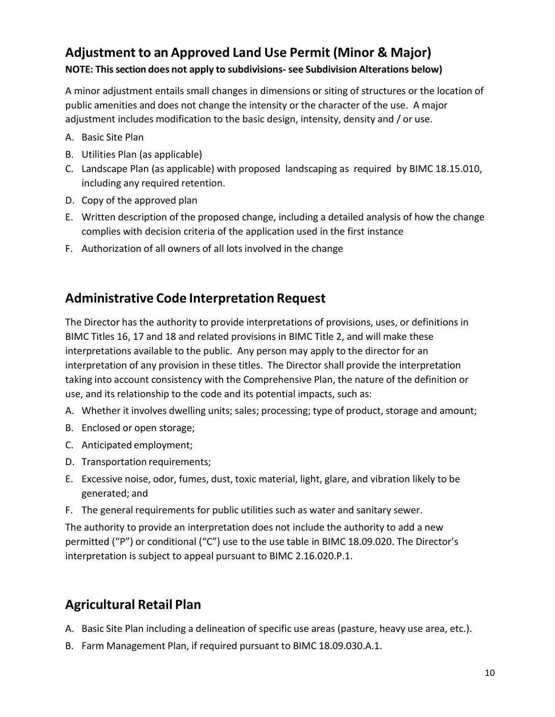#### **Adjustment to an Approved Land Use Permit (Minor & Major) NOTE: Thissection does not apply to subdivisions- see Subdivision Alterations below)**

A minor adjustment entails small changes in dimensions or siting of structures or the location of public amenities and does not change the intensity or the character of the use. A major adjustment includes modification to the basic design, intensity, density and / or use.

- A. Basic Site Plan
- B. Utilities Plan (as applicable)
- C. Landscape Plan (as applicable) with proposed landscaping as required by BIMC 18.15.010, including any required retention.
- D. Copy of the approved plan
- E. Written description of the proposed change, including a detailed analysis of how the change complies with decision criteria of the application used in the first instance
- F. Authorization of all owners of all lots involved in the change

#### **Administrative Code Interpretation Request**

The Director has the authority to provide interpretations of provisions, uses, or definitions in BIMC Titles [16,](http://www.codepublishing.com/WA/BainbridgeIsland/html/BainbridgeIsland16/BainbridgeIsland16.html#16) [17](http://www.codepublishing.com/WA/BainbridgeIsland/html/BainbridgeIsland17/BainbridgeIsland17.html#17) and [18](http://www.codepublishing.com/WA/BainbridgeIsland/html/BainbridgeIsland18/BainbridgeIsland18.html#18) and related provisions in BIMC Title [2,](http://www.codepublishing.com/WA/BainbridgeIsland/html/BainbridgeIsland02/BainbridgeIsland02.html#2) and will make these interpretations available to the public. Any person may apply to the director for an interpretation of any provision in these titles. The Director shall provide the interpretation taking into account consistency with the Comprehensive Plan, the nature of the definition or use, and its relationship to the code and its potential impacts, such as:

- A. Whether it involves dwelling units; sales; processing; type of product, storage and amount;
- B. Enclosed or open storage;
- C. Anticipated employment;
- D. Transportation requirements;
- E. Excessive noise, odor, fumes, dust, toxic material, light, glare, and vibration likely to be generated; and
- F. The general requirements for public utilities such as water and sanitary sewer.

The authority to provide an interpretation does not include the authority to add a new permitted ("P") or conditional ("C") use to the use table in BIMC [18.09.020.](http://www.codepublishing.com/WA/BainbridgeIsland/html/BainbridgeIsland18/BainbridgeIsland1809.html#18.09.020) The Director's interpretation is subject to appeal pursuant to BIMC [2.16.020.](http://www.codepublishing.com/WA/BainbridgeIsland/html/BainbridgeIsland02/BainbridgeIsland0216.html#2.16.020)P.1.

# **Agricultural Retail Plan**

- A. Basic Site Plan including a delineation of specific use areas (pasture, heavy use area, etc.).
- B. Farm Management Plan, if required pursuant to BIMC 18.09.030.A.1.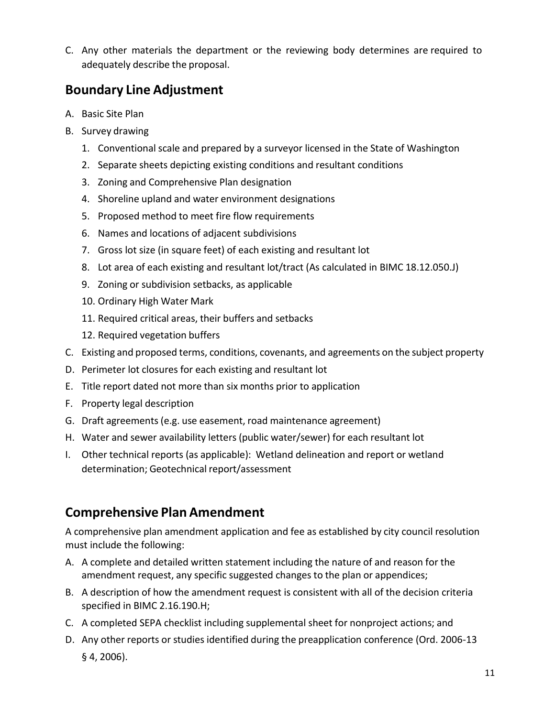C. Any other materials the department or the reviewing body determines are required to adequately describe the proposal.

#### **Boundary Line Adjustment**

- A. Basic Site Plan
- B. Survey drawing
	- 1. Conventional scale and prepared by a surveyor licensed in the State of Washington
	- 2. Separate sheets depicting existing conditions and resultant conditions
	- 3. Zoning and Comprehensive Plan designation
	- 4. Shoreline upland and water environment designations
	- 5. Proposed method to meet fire flow requirements
	- 6. Names and locations of adjacent subdivisions
	- 7. Gross lot size (in square feet) of each existing and resultant lot
	- 8. Lot area of each existing and resultant lot/tract (As calculated in BIMC 18.12.050.J)
	- 9. Zoning or subdivision setbacks, as applicable
	- 10. Ordinary High Water Mark
	- 11. Required critical areas, their buffers and setbacks
	- 12. Required vegetation buffers
- C. Existing and proposed terms, conditions, covenants, and agreements on the subject property
- D. Perimeter lot closures for each existing and resultant lot
- E. Title report dated not more than six months prior to application
- F. Property legal description
- G. Draft agreements (e.g. use easement, road maintenance agreement)
- H. Water and sewer availability letters (public water/sewer) for each resultant lot
- I. Other technical reports (as applicable): Wetland delineation and report or wetland determination; Geotechnical report/assessment

#### **Comprehensive Plan Amendment**

A comprehensive plan amendment application and fee as established by city council resolution must include the following:

- A. A complete and detailed written statement including the nature of and reason for the amendment request, any specific suggested changes to the plan or appendices;
- B. A description of how the amendment request is consistent with all of the decision criteria specified in BIMC 2.16.190.H;
- C. A completed SEPA checklist including supplemental sheet for nonproject actions; and
- D. Any other reports or studies identified during the preapplication conference (Ord. 2006-13 § 4, 2006).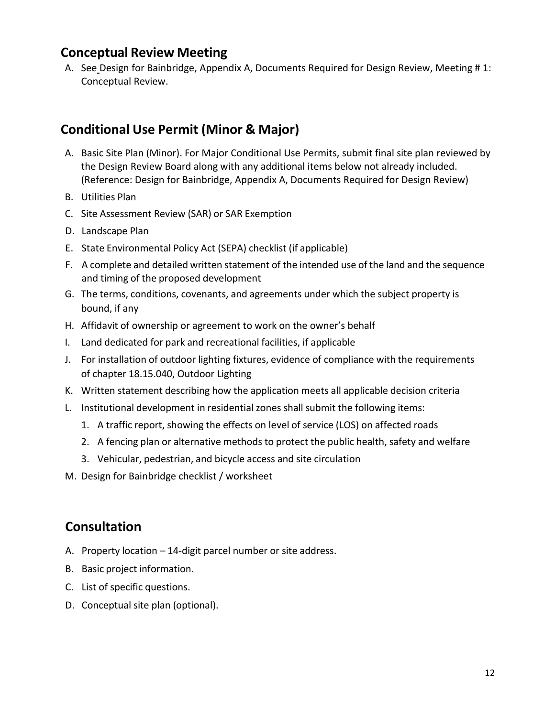#### **Conceptual Review Meeting**

A. See Design for Bainbridge, Appendix A, Documents Required for Design Review, Meeting # 1: Conceptual Review.

## **Conditional Use Permit (Minor & Major)**

- A. Basic Site Plan (Minor). For Major Conditional Use Permits, submit final site plan reviewed by the Design Review Board along with any additional items below not already included. (Reference: Design for Bainbridge, Appendix A, Documents Required for Design Review)
- B. Utilities Plan
- C. Site Assessment Review (SAR) or SAR Exemption
- D. Landscape Plan
- E. State Environmental Policy Act (SEPA) checklist (if applicable)
- F. A complete and detailed written statement of the intended use of the land and the sequence and timing of the proposed development
- G. The terms, conditions, covenants, and agreements under which the subject property is bound, if any
- H. Affidavit of ownership or agreement to work on the owner's behalf
- I. Land dedicated for park and recreational facilities, if applicable
- J. For installation of outdoor lighting fixtures, evidence of compliance with the requirements of chapter 18.15.040, Outdoor Lighting
- K. Written statement describing how the application meets all applicable decision criteria
- L. Institutional development in residential zones shall submit the following items:
	- 1. A traffic report, showing the effects on level of service (LOS) on affected roads
	- 2. A fencing plan or alternative methods to protect the public health, safety and welfare
	- 3. Vehicular, pedestrian, and bicycle access and site circulation
- M. Design for Bainbridge checklist / worksheet

# **Consultation**

- A. Property location 14-digit parcel number or site address.
- B. Basic project information.
- C. List of specific questions.
- D. Conceptual site plan (optional).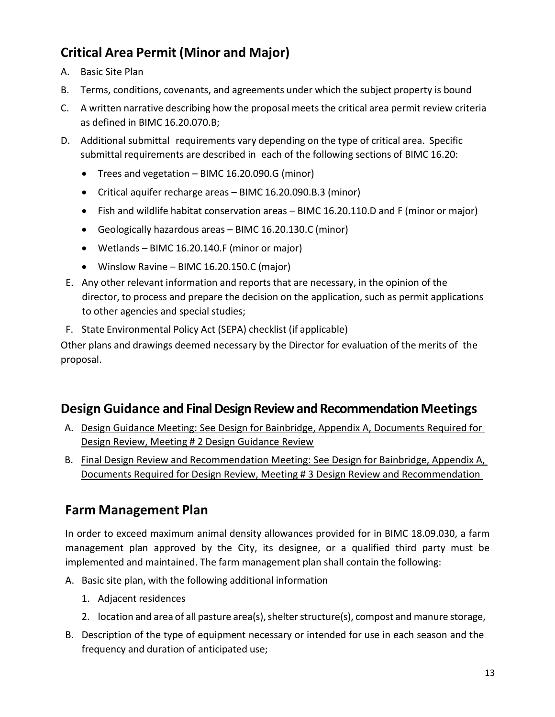# **Critical Area Permit (Minor and Major)**

- A. Basic Site Plan
- B. Terms, conditions, covenants, and agreements under which the subject property is bound
- C. A written narrative describing how the proposal meets the critical area permit review criteria as defined in BIMC 16.20.070.B;
- D. Additional submittal requirements vary depending on the type of critical area. Specific submittal requirements are described in each of the following sections of BIMC 16.20:
	- Trees and vegetation BIMC 16.20.090.G (minor)
	- Critical aquifer recharge areas BIMC 16.20.090.B.3 (minor)
	- Fish and wildlife habitat conservation areas BIMC 16.20.110.D and F (minor or major)
	- Geologically hazardous areas BIMC 16.20.130.C (minor)
	- Wetlands BIMC 16.20.140.F (minor or major)
	- Winslow Ravine BIMC 16.20.150.C (major)
- E. Any other relevant information and reports that are necessary, in the opinion of the director, to process and prepare the decision on the application, such as permit applications to other agencies and special studies;
- F. State Environmental Policy Act (SEPA) checklist (if applicable)

Other plans and drawings deemed necessary by the Director for evaluation of the merits of the proposal.

#### **Design Guidance and Final Design Review and Recommendation Meetings**

- A. Design Guidance Meeting: See Design for Bainbridge, Appendix A, Documents Required for Design Review, Meeting # 2 Design Guidance Review
- B. Final Design Review and Recommendation Meeting: See Design for Bainbridge, Appendix A, Documents Required for Design Review, Meeting # 3 Design Review and Recommendation

#### **Farm Management Plan**

In order to exceed maximum animal density allowances provided for in BIMC 18.09.030, a farm management plan approved by the City, its designee, or a qualified third party must be implemented and maintained. The farm management plan shall contain the following:

- A. Basic site plan, with the following additional information
	- 1. Adjacent residences
	- 2. location and area of all pasture area(s), shelter structure(s), compost and manure storage,
- B. Description of the type of equipment necessary or intended for use in each season and the frequency and duration of anticipated use;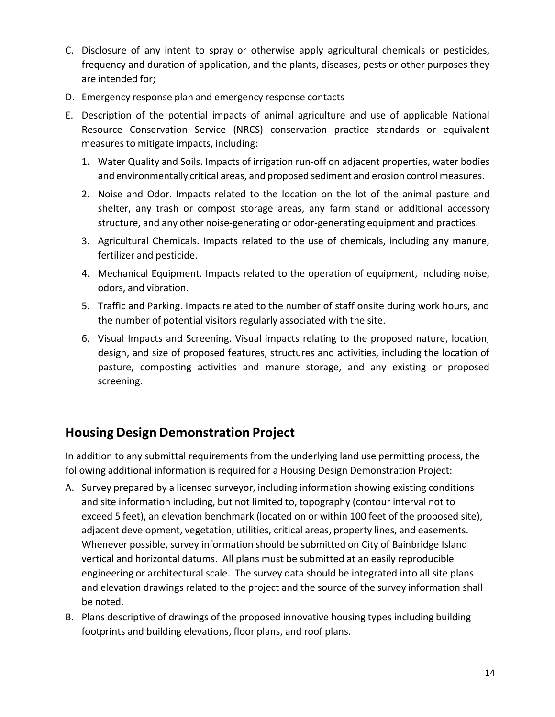- C. Disclosure of any intent to spray or otherwise apply agricultural chemicals or pesticides, frequency and duration of application, and the plants, diseases, pests or other purposes they are intended for;
- D. Emergency response plan and emergency response contacts
- E. Description of the potential impacts of animal agriculture and use of applicable National Resource Conservation Service (NRCS) conservation practice standards or equivalent measures to mitigate impacts, including:
	- 1. Water Quality and Soils. Impacts of irrigation run-off on adjacent properties, water bodies and environmentally critical areas, and proposed sediment and erosion control measures.
	- 2. Noise and Odor. Impacts related to the location on the lot of the animal pasture and shelter, any trash or compost storage areas, any farm stand or additional accessory structure, and any other noise-generating or odor-generating equipment and practices.
	- 3. Agricultural Chemicals. Impacts related to the use of chemicals, including any manure, fertilizer and pesticide.
	- 4. Mechanical Equipment. Impacts related to the operation of equipment, including noise, odors, and vibration.
	- 5. Traffic and Parking. Impacts related to the number of staff onsite during work hours, and the number of potential visitors regularly associated with the site.
	- 6. Visual Impacts and Screening. Visual impacts relating to the proposed nature, location, design, and size of proposed features, structures and activities, including the location of pasture, composting activities and manure storage, and any existing or proposed screening.

# **Housing Design Demonstration Project**

In addition to any submittal requirements from the underlying land use permitting process, the following additional information is required for a Housing Design Demonstration Project:

- A. Survey prepared by a licensed surveyor, including information showing existing conditions and site information including, but not limited to, topography (contour interval not to exceed 5 feet), an elevation benchmark (located on or within 100 feet of the proposed site), adjacent development, vegetation, utilities, critical areas, property lines, and easements. Whenever possible, survey information should be submitted on City of Bainbridge Island vertical and horizontal datums. All plans must be submitted at an easily reproducible engineering or architectural scale. The survey data should be integrated into all site plans and elevation drawings related to the project and the source of the survey information shall be noted.
- B. Plans descriptive of drawings of the proposed innovative housing types including building footprints and building elevations, floor plans, and roof plans.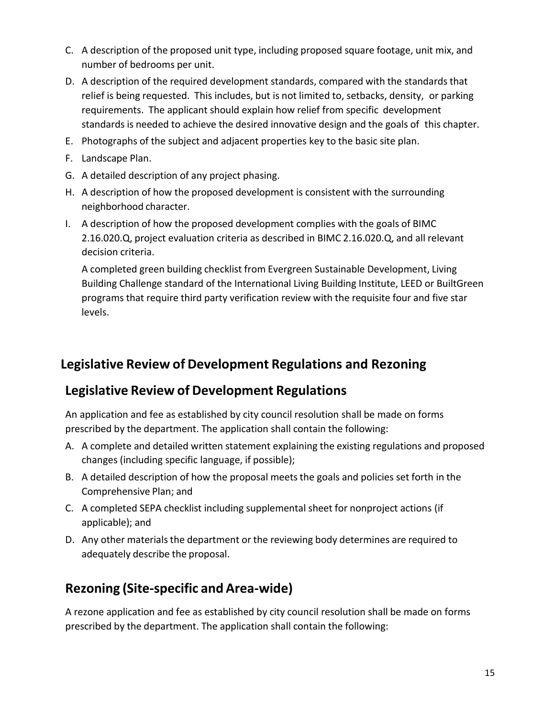- C. A description of the proposed unit type, including proposed square footage, unit mix, and number of bedrooms per unit.
- D. A description of the required development standards, compared with the standards that relief is being requested. This includes, but is not limited to, setbacks, density, or parking requirements. The applicant should explain how relief from specific development standards is needed to achieve the desired innovative design and the goals of this chapter.
- E. Photographs of the subject and adjacent properties key to the basic site plan.
- F. Landscape Plan.
- G. A detailed description of any project phasing.
- H. A description of how the proposed development is consistent with the surrounding neighborhood character.
- I. A description of how the proposed development complies with the goals of BIMC 2.16.020.Q, project evaluation criteria as described in BIMC 2.16.020.Q, and all relevant decision criteria.

A completed green building checklist from Evergreen Sustainable Development, Living Building Challenge standard of the International Living Building Institute, LEED or BuiltGreen programs that require third party verification review with the requisite four and five star levels.

# **Legislative Review of Development Regulations and Rezoning**

#### **Legislative Review of Development Regulations**

An application and fee as established by city council resolution shall be made on forms prescribed by the department. The application shall contain the following:

- A. A complete and detailed written statement explaining the existing regulations and proposed changes (including specific language, if possible);
- B. A detailed description of how the proposal meets the goals and policies set forth in the Comprehensive Plan; and
- C. A completed SEPA checklist including supplemental sheet for nonproject actions (if applicable); and
- D. Any other materials the department or the reviewing body determines are required to adequately describe the proposal.

# **Rezoning (Site-specific and Area-wide)**

A rezone application and fee as established by city council resolution shall be made on forms prescribed by the department. The application shall contain the following: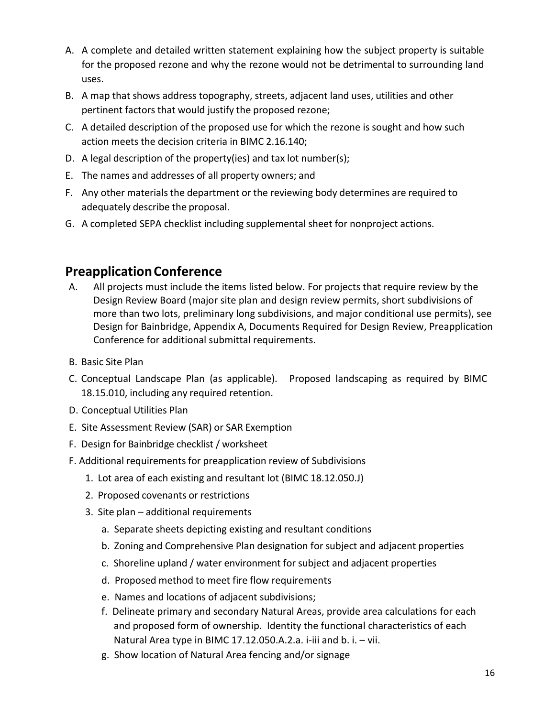- A. A complete and detailed written statement explaining how the subject property is suitable for the proposed rezone and why the rezone would not be detrimental to surrounding land uses.
- B. A map that shows address topography, streets, adjacent land uses, utilities and other pertinent factors that would justify the proposed rezone;
- C. A detailed description of the proposed use for which the rezone is sought and how such action meets the decision criteria in BIMC 2.16.140;
- D. A legal description of the property(ies) and tax lot number(s);
- E. The names and addresses of all property owners; and
- F. Any other materials the department or the reviewing body determines are required to adequately describe the proposal.
- G. A completed SEPA checklist including supplemental sheet for nonproject actions.

#### **PreapplicationConference**

- A. All projects must include the items listed below. For projects that require review by the Design Review Board (major site plan and design review permits, short subdivisions of more than two lots, preliminary long subdivisions, and major conditional use permits), see Design for Bainbridge, Appendix A, Documents Required for Design Review, Preapplication Conference for additional submittal requirements.
- B. Basic Site Plan
- C. Conceptual Landscape Plan (as applicable). Proposed landscaping as required by BIMC 18.15.010, including any required retention.
- D. Conceptual Utilities Plan
- E. Site Assessment Review (SAR) or SAR Exemption
- F. Design for Bainbridge checklist / worksheet
- F. Additional requirementsfor preapplication review of Subdivisions
	- 1. Lot area of each existing and resultant lot (BIMC 18.12.050.J)
	- 2. Proposed covenants or restrictions
	- 3. Site plan additional requirements
		- a. Separate sheets depicting existing and resultant conditions
		- b. Zoning and Comprehensive Plan designation for subject and adjacent properties
		- c. Shoreline upland / water environment for subject and adjacent properties
		- d. Proposed method to meet fire flow requirements
		- e. Names and locations of adjacent subdivisions;
		- f. Delineate primary and secondary Natural Areas, provide area calculations for each and proposed form of ownership. Identity the functional characteristics of each Natural Area type in BIMC 17.12.050.A.2.a. i-iii and b. i. – vii.
		- g. Show location of Natural Area fencing and/or signage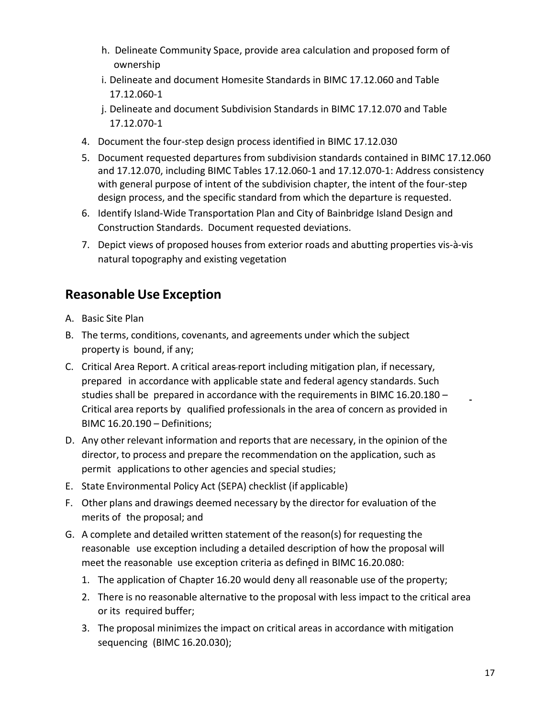- h. Delineate Community Space, provide area calculation and proposed form of ownership
- i. Delineate and document Homesite Standards in BIMC 17.12.060 and Table 17.12.060-1
- j. Delineate and document Subdivision Standards in BIMC 17.12.070 and Table 17.12.070-1
- 4. Document the four-step design process identified in BIMC 17.12.030
- 5. Document requested departures from subdivision standards contained in BIMC 17.12.060 and 17.12.070, including BIMC Tables 17.12.060-1 and 17.12.070-1: Address consistency with general purpose of intent of the subdivision chapter, the intent of the four-step design process, and the specific standard from which the departure is requested.
- 6. Identif[y Island-Wide Transportation Plan](https://www.bainbridgewa.gov/708/Island-wide-Transportation-Plan-IWTP-Upd) and [City of Bainbridge Island Design and](http://www.ci.bainbridge-isl.wa.us/169/Design-Construction-Standards)  [Construction Standards.](http://www.ci.bainbridge-isl.wa.us/169/Design-Construction-Standards) Document requested deviations.
- 7. Depict views of proposed houses from exterior roads and abutting properties vis-à-vis natural topography and existing vegetation

# **Reasonable Use Exception**

- A. Basic Site Plan
- B. The terms, conditions, covenants, and agreements under which the subject property is bound, if any;
- C. Critical Area Report. A critical areas report including mitigation plan, if necessary, prepared in accordance with applicable state and federal agency standards. Such studies shall be prepared in accordance with the requirements in BIMC  $16.20.180 -$ Critical area reports by qualified professionals in the area of concern as provided in BIMC 16.20.190 – Definitions;
- D. Any other relevant information and reports that are necessary, in the opinion of the director, to process and prepare the recommendation on the application, such as permit applications to other agencies and special studies;
- E. State Environmental Policy Act (SEPA) checklist (if applicable)
- F. Other plans and drawings deemed necessary by the director for evaluation of the merits of the proposal; and
- G. A complete and detailed written statement of the reason(s) for requesting the reasonable use exception including a detailed description of how the proposal will meet the reasonable use exception criteria as defined in BIMC 16.20.080:
	- 1. The application of Chapter 16.20 would deny all reasonable use of the property;
	- 2. There is no reasonable alternative to the proposal with less impact to the critical area or its required buffer;
	- 3. The proposal minimizes the impact on critical areas in accordance with mitigation sequencing (BIMC 16.20.030);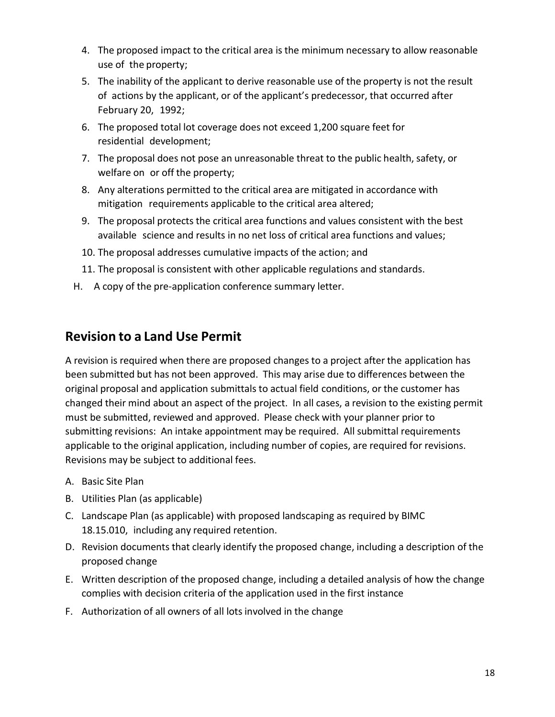- 4. The proposed impact to the critical area is the minimum necessary to allow reasonable use of the property;
- 5. The inability of the applicant to derive reasonable use of the property is not the result of actions by the applicant, or of the applicant's predecessor, that occurred after February 20, 1992;
- 6. The proposed total lot coverage does not exceed 1,200 square feet for residential development;
- 7. The proposal does not pose an unreasonable threat to the public health, safety, or welfare on or off the property;
- 8. Any alterations permitted to the critical area are mitigated in accordance with mitigation requirements applicable to the critical area altered;
- 9. The proposal protects the critical area functions and values consistent with the best available science and results in no net loss of critical area functions and values;
- 10. The proposal addresses cumulative impacts of the action; and
- 11. The proposal is consistent with other applicable regulations and standards.
- H. A copy of the pre-application conference summary letter.

#### **Revision to a Land Use Permit**

A revision is required when there are proposed changes to a project after the application has been submitted but has not been approved. This may arise due to differences between the original proposal and application submittals to actual field conditions, or the customer has changed their mind about an aspect of the project. In all cases, a revision to the existing permit must be submitted, reviewed and approved. Please check with your planner prior to submitting revisions: An intake appointment may be required. All submittal requirements applicable to the original application, including number of copies, are required for revisions. Revisions may be subject to additional fees.

- A. Basic Site Plan
- B. Utilities Plan (as applicable)
- C. Landscape Plan (as applicable) with proposed landscaping as required by BIMC 18.15.010, including any required retention.
- D. Revision documents that clearly identify the proposed change, including a description of the proposed change
- E. Written description of the proposed change, including a detailed analysis of how the change complies with decision criteria of the application used in the first instance
- F. Authorization of all owners of all lots involved in the change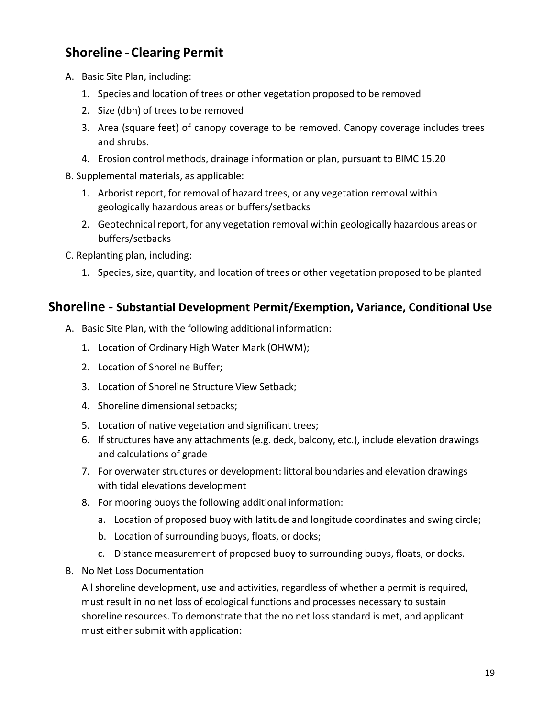## **Shoreline -Clearing Permit**

A. Basic Site Plan, including:

- 1. Species and location of trees or other vegetation proposed to be removed
- 2. Size (dbh) of trees to be removed
- 3. Area (square feet) of canopy coverage to be removed. Canopy coverage includes trees and shrubs.
- 4. Erosion control methods, drainage information or plan, pursuant to BIMC 15.20
- B. Supplemental materials, as applicable:
	- 1. Arborist report, for removal of hazard trees, or any vegetation removal within geologically hazardous areas or buffers/setbacks
	- 2. Geotechnical report, for any vegetation removal within geologically hazardous areas or buffers/setbacks
- C. Replanting plan, including:
	- 1. Species, size, quantity, and location of trees or other vegetation proposed to be planted

#### **Shoreline - Substantial Development Permit/Exemption, Variance, Conditional Use**

- A. Basic Site Plan, with the following additional information:
	- 1. Location of Ordinary High Water Mark (OHWM);
	- 2. Location of Shoreline Buffer;
	- 3. Location of Shoreline Structure View Setback;
	- 4. Shoreline dimensional setbacks;
	- 5. Location of native vegetation and significant trees;
	- 6. If structures have any attachments (e.g. deck, balcony, etc.), include elevation drawings and calculations of grade
	- 7. For overwater structures or development: littoral boundaries and elevation drawings with tidal elevations development
	- 8. For mooring buoys the following additional information:
		- a. Location of proposed buoy with latitude and longitude coordinates and swing circle;
		- b. Location of surrounding buoys, floats, or docks;
		- c. Distance measurement of proposed buoy to surrounding buoys, floats, or docks.
- B. No Net Loss Documentation

All shoreline development, use and activities, regardless of whether a permit is required, must result in no net loss of ecological functions and processes necessary to sustain shoreline resources. To demonstrate that the no net loss standard is met, and applicant must either submit with application: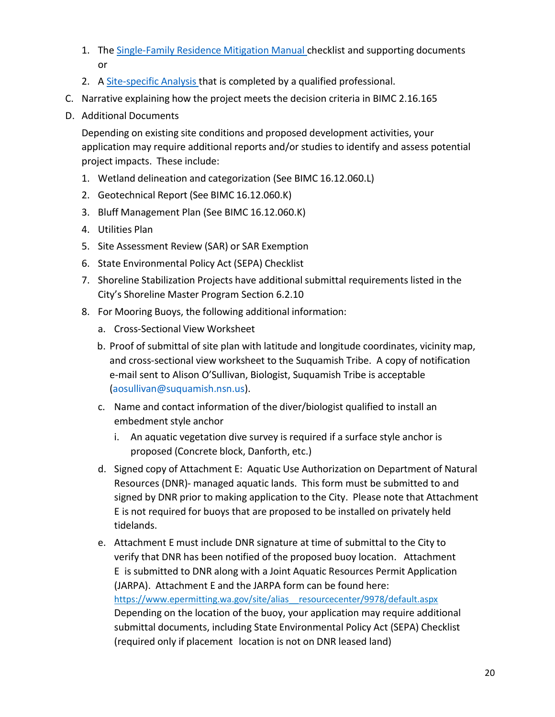- 1. The [Single-Family](http://www.bainbridgewa.gov/DocumentCenter/View/5663) Residence Mitigation Manual checklist and supporting documents or
- 2. A [Site-specific](http://www.bainbridgewa.gov/DocumentCenter/View/7306) Analysis that is completed by a qualified professional.
- C. Narrative explaining how the project meets the decision criteria in BIMC 2.16.165
- D. Additional Documents

Depending on existing site conditions and proposed development activities, your application may require additional reports and/or studies to identify and assess potential project impacts. These include:

- 1. Wetland delineation and categorization (See BIMC 16.12.060.L)
- 2. Geotechnical Report (See BIMC 16.12.060.K)
- 3. Bluff Management Plan (See BIMC 16.12.060.K)
- 4. Utilities Plan
- 5. Site Assessment Review (SAR) or SAR Exemption
- 6. State Environmental Policy Act (SEPA) Checklist
- 7. Shoreline Stabilization Projects have additional submittal requirements listed in the City's Shoreline Master Program Section 6.2.10
- 8. For Mooring Buoys, the following additional information:
	- a. Cross-Sectional View Worksheet
	- b. Proof of submittal of site plan with latitude and longitude coordinates, vicinity map, and cross-sectional view worksheet to the Suquamish Tribe. A copy of notification e-mail sent to Alison O'Sullivan, Biologist, Suquamish Tribe is acceptable [\(aosullivan@suquamish.nsn.us\)](mailto:aosullivan@suquamish.nsn.us).
	- c. Name and contact information of the diver/biologist qualified to install an embedment style anchor
		- i. An aquatic vegetation dive survey is required if a surface style anchor is proposed (Concrete block, Danforth, etc.)
	- d. Signed copy of Attachment E: Aquatic Use Authorization on Department of Natural Resources (DNR)- managed aquatic lands. This form must be submitted to and signed by DNR prior to making application to the City. Please note that Attachment E is not required for buoys that are proposed to be installed on privately held tidelands.
	- e. Attachment E must include DNR signature at time of submittal to the City to verify that DNR has been notified of the proposed buoy location. Attachment E is submitted to DNR along with a Joint Aquatic Resources Permit Application (JARPA). Attachment E and the JARPA form can be found here: [https://www.epermitting.wa.gov/site/alias\\_\\_resourcecenter/9978/default.aspx](https://www.epermitting.wa.gov/site/alias__resourcecenter/9978/default.aspx) Depending on the location of the buoy, your application may require additional submittal documents, including State Environmental Policy Act (SEPA) Checklist (required only if placement location is not on DNR leased land)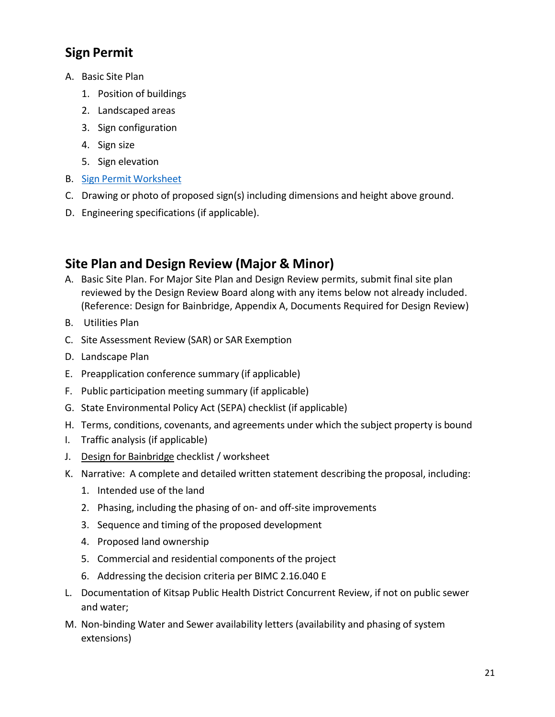# **Sign Permit**

- A. Basic Site Plan
	- 1. Position of buildings
	- 2. Landscaped areas
	- 3. Sign configuration
	- 4. Sign size
	- 5. Sign elevation
- B. Sign Permit [Worksheet](http://www.bainbridgewa.gov/DocumentCenter/View/7408)
- C. Drawing or photo of proposed sign(s) including dimensions and height above ground.
- D. Engineering specifications (if applicable).

# **Site Plan and Design Review (Major & Minor)**

- A. Basic Site Plan. For Major Site Plan and Design Review permits, submit final site plan reviewed by the Design Review Board along with any items below not already included. (Reference: Design for Bainbridge, Appendix A, Documents Required for Design Review)
- B. Utilities Plan
- C. Site Assessment Review (SAR) or SAR Exemption
- D. Landscape Plan
- E. Preapplication conference summary (if applicable)
- F. Public participation meeting summary (if applicable)
- G. State Environmental Policy Act (SEPA) checklist (if applicable)
- H. Terms, conditions, covenants, and agreements under which the subject property is bound
- I. Traffic analysis (if applicable)
- J. Design for Bainbridge checklist / worksheet
- K. Narrative: A complete and detailed written statement describing the proposal, including:
	- 1. Intended use of the land
	- 2. Phasing, including the phasing of on- and off-site improvements
	- 3. Sequence and timing of the proposed development
	- 4. Proposed land ownership
	- 5. Commercial and residential components of the project
	- 6. Addressing the decision criteria per BIMC 2.16.040 E
- L. Documentation of Kitsap Public Health District Concurrent Review, if not on public sewer and water;
- M. Non-binding Water and Sewer availability letters (availability and phasing of system extensions)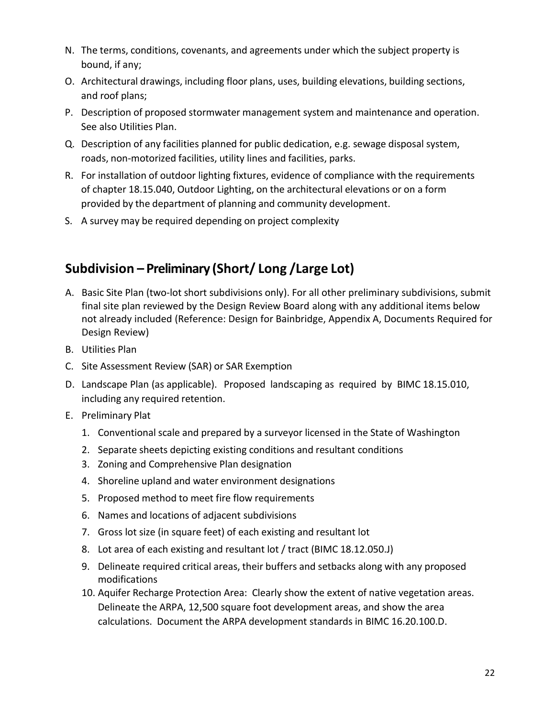- N. The terms, conditions, covenants, and agreements under which the subject property is bound, if any;
- O. Architectural drawings, including floor plans, uses, building elevations, building sections, and roof plans;
- P. Description of proposed stormwater management system and maintenance and operation. See also Utilities Plan.
- Q. Description of any facilities planned for public dedication, e.g. sewage disposal system, roads, non-motorized facilities, utility lines and facilities, parks.
- R. For installation of outdoor lighting fixtures, evidence of compliance with the requirements of chapter 18.15.040, Outdoor Lighting, on the architectural elevations or on a form provided by the department of planning and community development.
- S. A survey may be required depending on project complexity

#### **Subdivision – Preliminary (Short/ Long /Large Lot)**

- A. Basic Site Plan (two-lot short subdivisions only). For all other preliminary subdivisions, submit final site plan reviewed by the Design Review Board along with any additional items below not already included (Reference: Design for Bainbridge, Appendix A, Documents Required for Design Review)
- B. Utilities Plan
- C. Site Assessment Review (SAR) or SAR Exemption
- D. Landscape Plan (as applicable). Proposed landscaping as required by BIMC 18.15.010, including any required retention.
- E. Preliminary Plat
	- 1. Conventional scale and prepared by a surveyor licensed in the State of Washington
	- 2. Separate sheets depicting existing conditions and resultant conditions
	- 3. Zoning and Comprehensive Plan designation
	- 4. Shoreline upland and water environment designations
	- 5. Proposed method to meet fire flow requirements
	- 6. Names and locations of adjacent subdivisions
	- 7. Gross lot size (in square feet) of each existing and resultant lot
	- 8. Lot area of each existing and resultant lot / tract (BIMC 18.12.050.J)
	- 9. Delineate required critical areas, their buffers and setbacks along with any proposed modifications
	- 10. Aquifer Recharge Protection Area: Clearly show the extent of native vegetation areas. Delineate the ARPA, 12,500 square foot development areas, and show the area calculations. Document the ARPA development standards in BIMC 16.20.100.D.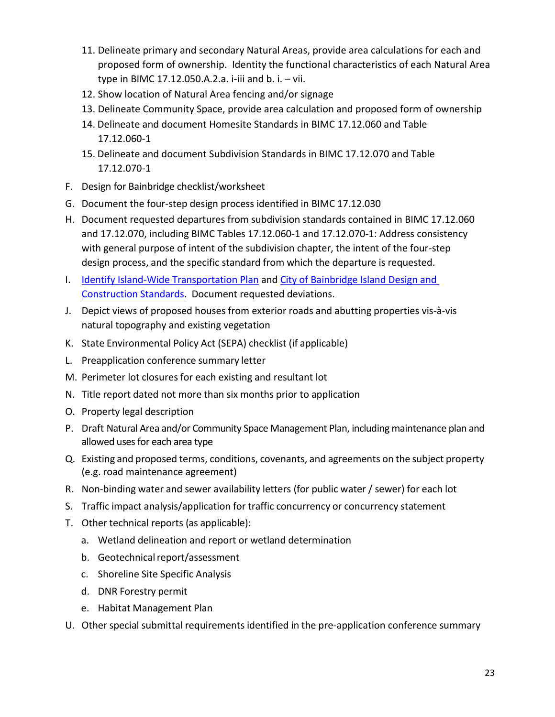- 11. Delineate primary and secondary Natural Areas, provide area calculations for each and proposed form of ownership. Identity the functional characteristics of each Natural Area type in BIMC 17.12.050.A.2.a. i-iii and b. i. – vii.
- 12. Show location of Natural Area fencing and/or signage
- 13. Delineate Community Space, provide area calculation and proposed form of ownership
- 14. Delineate and document Homesite Standards in BIMC 17.12.060 and Table 17.12.060-1
- 15. Delineate and document Subdivision Standards in BIMC 17.12.070 and Table 17.12.070-1
- F. Design for Bainbridge checklist/worksheet
- G. Document the four-step design process identified in BIMC 17.12.030
- H. Document requested departures from subdivision standards contained in BIMC 17.12.060 and 17.12.070, including BIMC Tables 17.12.060-1 and 17.12.070-1: Address consistency with general purpose of intent of the subdivision chapter, the intent of the four-step design process, and the specific standard from which the departure is requested.
- I. [Identify Island-Wide Transportation Plan](https://www.bainbridgewa.gov/708/Island-wide-Transportation-Plan-IWTP-Upd) and [City of Bainbridge Island Design and](http://www.ci.bainbridge-isl.wa.us/169/Design-Construction-Standards)  [Construction Standards.](http://www.ci.bainbridge-isl.wa.us/169/Design-Construction-Standards) Document requested deviations.
- J. Depict views of proposed houses from exterior roads and abutting properties vis-à-vis natural topography and existing vegetation
- K. State Environmental Policy Act (SEPA) checklist (if applicable)
- L. Preapplication conference summary letter
- M. Perimeter lot closures for each existing and resultant lot
- N. Title report dated not more than six months prior to application
- O. Property legal description
- P. Draft Natural Area and/or Community Space Management Plan, including maintenance plan and allowed uses for each area type
- Q. Existing and proposed terms, conditions, covenants, and agreements on the subject property (e.g. road maintenance agreement)
- R. Non-binding water and sewer availability letters (for public water / sewer) for each lot
- S. Traffic impact analysis/application for traffic concurrency or concurrency statement
- T. Other technical reports (as applicable):
	- a. Wetland delineation and report or wetland determination
	- b. Geotechnical report/assessment
	- c. Shoreline Site Specific Analysis
	- d. DNR Forestry permit
	- e. Habitat Management Plan
- U. Other special submittal requirements identified in the pre-application conference summary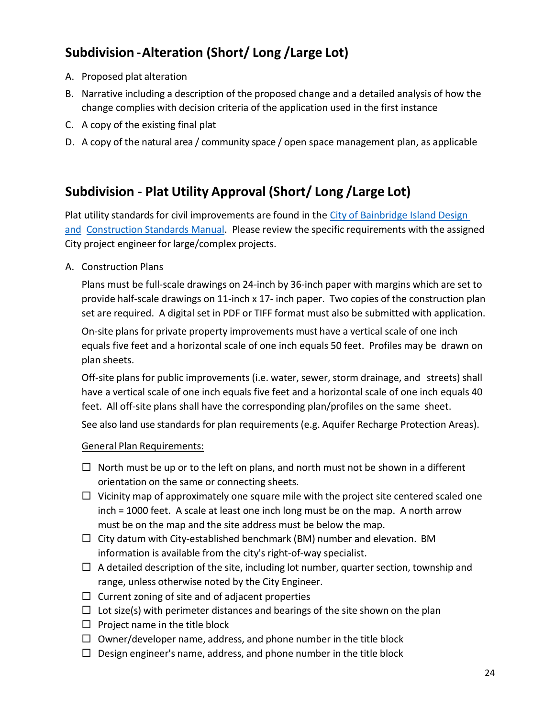# **Subdivision - Alteration (Short/ Long /Large Lot)**

- A. Proposed plat alteration
- B. Narrative including a description of the proposed change and a detailed analysis of how the change complies with decision criteria of the application used in the first instance
- C. A copy of the existing final plat
- D. A copy of the natural area / community space / open space management plan, as applicable

#### **Subdivision - Plat Utility Approval (Short/ Long /Large Lot)**

Plat utility standards for civil improvements are found in the City of [Bainbridge](http://www.ci.bainbridge-isl.wa.us/169/Design-Construction-Standards) Island Design [and](http://www.ci.bainbridge-isl.wa.us/169/Design-Construction-Standards) [Construction](http://www.ci.bainbridge-isl.wa.us/169/Design-Construction-Standards) Standards Manual. Please review the specific requirements with the assigned City project engineer for large/complex projects.

A. Construction Plans

Plans must be full-scale drawings on 24-inch by 36-inch paper with margins which are set to provide half-scale drawings on 11-inch x 17- inch paper. Two copies of the construction plan set are required. A digital set in PDF or TIFF format must also be submitted with application.

On-site plans for private property improvements must have a vertical scale of one inch equals five feet and a horizontal scale of one inch equals 50 feet. Profiles may be drawn on plan sheets.

Off-site plans for public improvements (i.e. water, sewer, storm drainage, and streets) shall have a vertical scale of one inch equals five feet and a horizontal scale of one inch equals 40 feet. All off-site plans shall have the corresponding plan/profiles on the same sheet.

See also land use standards for plan requirements (e.g. Aquifer Recharge Protection Areas).

#### General Plan Requirements:

- $\Box$  North must be up or to the left on plans, and north must not be shown in a different orientation on the same or connecting sheets.
- $\Box$  Vicinity map of approximately one square mile with the project site centered scaled one inch = 1000 feet. A scale at least one inch long must be on the map. A north arrow must be on the map and the site address must be below the map.
- $\Box$  City datum with City-established benchmark (BM) number and elevation. BM information is available from the city's right-of-way specialist.
- $\Box$  A detailed description of the site, including lot number, quarter section, township and range, unless otherwise noted by the City Engineer.
- $\Box$  Current zoning of site and of adjacent properties
- $\Box$  Lot size(s) with perimeter distances and bearings of the site shown on the plan
- $\Box$  Project name in the title block
- $\Box$  Owner/developer name, address, and phone number in the title block
- $\Box$  Design engineer's name, address, and phone number in the title block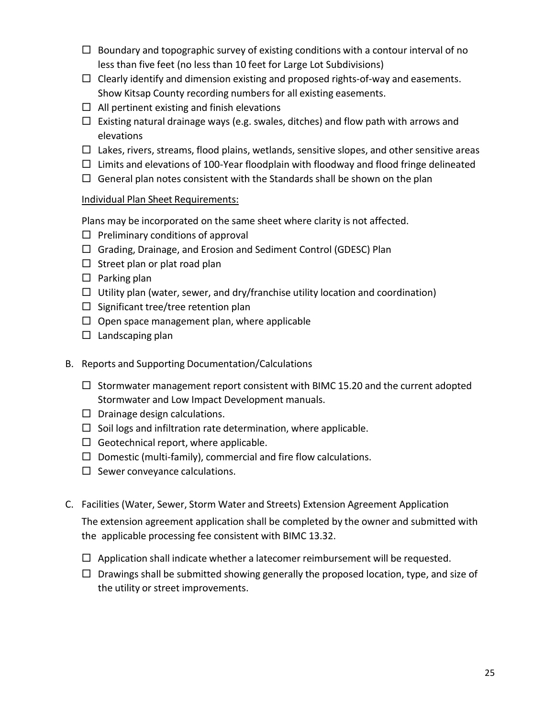- $\Box$  Boundary and topographic survey of existing conditions with a contour interval of no less than five feet (no less than 10 feet for Large Lot Subdivisions)
- $\Box$  Clearly identify and dimension existing and proposed rights-of-way and easements. Show Kitsap County recording numbers for all existing easements.
- $\Box$  All pertinent existing and finish elevations
- $\Box$  Existing natural drainage ways (e.g. swales, ditches) and flow path with arrows and elevations
- $\Box$  Lakes, rivers, streams, flood plains, wetlands, sensitive slopes, and other sensitive areas
- $\Box$  Limits and elevations of 100-Year floodplain with floodway and flood fringe delineated
- $\Box$  General plan notes consistent with the Standards shall be shown on the plan

#### Individual Plan Sheet Requirements:

Plans may be incorporated on the same sheet where clarity is not affected.

- $\Box$  Preliminary conditions of approval
- $\Box$  Grading, Drainage, and Erosion and Sediment Control (GDESC) Plan
- $\Box$  Street plan or plat road plan
- $\Box$  Parking plan
- $\Box$  Utility plan (water, sewer, and dry/franchise utility location and coordination)
- $\square$  Significant tree/tree retention plan
- $\Box$  Open space management plan, where applicable
- $\Box$  Landscaping plan
- B. Reports and Supporting Documentation/Calculations
	- $\Box$  Stormwater management report consistent with BIMC 15.20 and the current adopted Stormwater and Low Impact Development manuals.
	- $\Box$  Drainage design calculations.
	- $\Box$  Soil logs and infiltration rate determination, where applicable.
	- $\Box$  Geotechnical report, where applicable.
	- $\Box$  Domestic (multi-family), commercial and fire flow calculations.
	- $\square$  Sewer conveyance calculations.
- C. Facilities (Water, Sewer, Storm Water and Streets) Extension Agreement Application

The extension agreement application shall be completed by the owner and submitted with the applicable processing fee consistent with BIMC 13.32.

- $\Box$  Application shall indicate whether a latecomer reimbursement will be requested.
- $\Box$  Drawings shall be submitted showing generally the proposed location, type, and size of the utility or street improvements.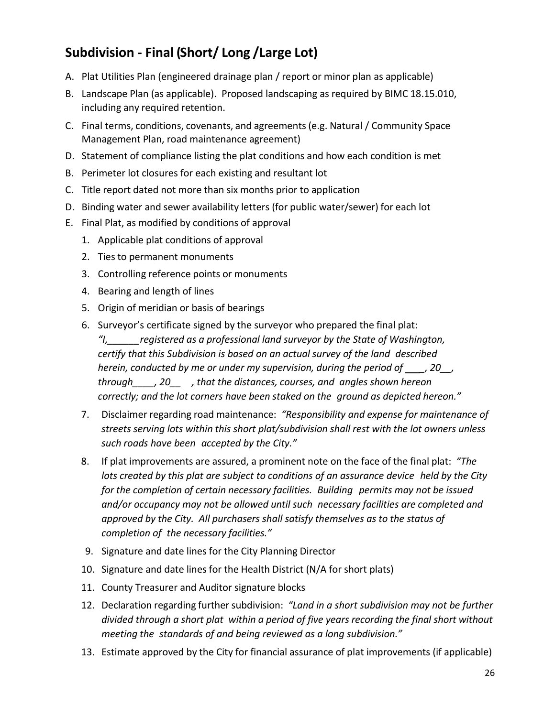# **Subdivision - Final (Short/ Long /Large Lot)**

- A. Plat Utilities Plan (engineered drainage plan / report or minor plan as applicable)
- B. Landscape Plan (as applicable). Proposed landscaping as required by BIMC 18.15.010, including any required retention.
- C. Final terms, conditions, covenants, and agreements(e.g. Natural / Community Space Management Plan, road maintenance agreement)
- D. Statement of compliance listing the plat conditions and how each condition is met
- B. Perimeter lot closures for each existing and resultant lot
- C. Title report dated not more than six months prior to application
- D. Binding water and sewer availability letters (for public water/sewer) for each lot
- E. Final Plat, as modified by conditions of approval
	- 1. Applicable plat conditions of approval
	- 2. Ties to permanent monuments
	- 3. Controlling reference points or monuments
	- 4. Bearing and length of lines
	- 5. Origin of meridian or basis of bearings
	- 6. Surveyor's certificate signed by the surveyor who prepared the final plat: *"I,\_\_\_\_\_\_registered as a professional land surveyor by the State of Washington, certify that this Subdivision is based on an actual survey of the land described herein, conducted by me or under my supervision, during the period of \_, 20\_\_, through\_\_\_\_, 20\_\_ , that the distances, courses, and angles shown hereon correctly; and the lot corners have been staked on the ground as depicted hereon."*
	- 7. Disclaimer regarding road maintenance: *"Responsibility and expense for maintenance of streets serving lots within this short plat/subdivision shall rest with the lot owners unless such roads have been accepted by the City."*
	- 8. If plat improvements are assured, a prominent note on the face of the final plat: *"The lots created by this plat are subject to conditions of an assurance device held by the City for the completion of certain necessary facilities. Building permits may not be issued and/or occupancy may not be allowed until such necessary facilities are completed and approved by the City. All purchasers shall satisfy themselves as to the status of completion of the necessary facilities."*
	- 9. Signature and date lines for the City Planning Director
	- 10. Signature and date lines for the Health District (N/A for short plats)
	- 11. County Treasurer and Auditor signature blocks
	- 12. Declaration regarding further subdivision: "Land in a short subdivision may not be further *divided through a short plat within a period of five years recording the final short without meeting the standards of and being reviewed as a long subdivision."*
	- 13. Estimate approved by the City for financial assurance of plat improvements (if applicable)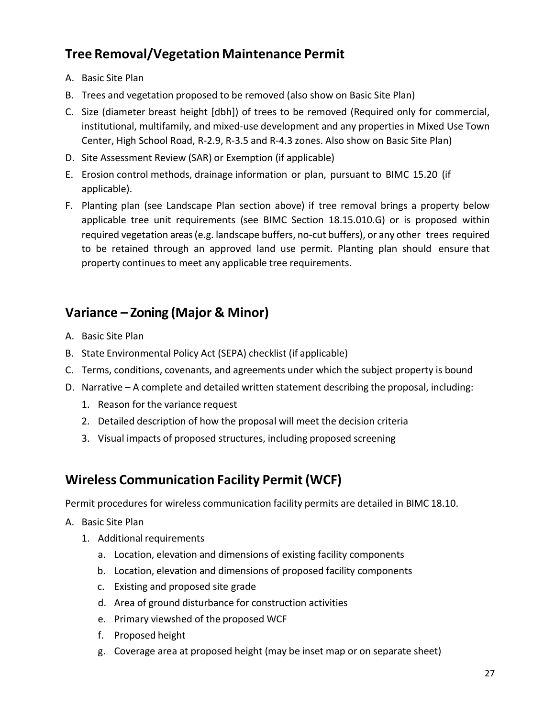# **Tree Removal/Vegetation Maintenance Permit**

- A. Basic Site Plan
- B. Trees and vegetation proposed to be removed (also show on Basic Site Plan)
- C. Size (diameter breast height [dbh]) of trees to be removed (Required only for commercial, institutional, multifamily, and mixed-use development and any properties in Mixed Use Town Center, High School Road, R-2.9, R-3.5 and R-4.3 zones. Also show on Basic Site Plan)
- D. Site Assessment Review (SAR) or Exemption (if applicable)
- E. Erosion control methods, drainage information or plan, pursuant to BIMC 15.20 (if applicable).
- F. Planting plan (see Landscape Plan section above) if tree removal brings a property below applicable tree unit requirements (see BIMC Section 18.15.010.G) or is proposed within required vegetation areas (e.g. landscape buffers, no-cut buffers), or any other trees required to be retained through an approved land use permit. Planting plan should ensure that property continues to meet any applicable tree requirements.

#### **Variance – Zoning (Major & Minor)**

- A. Basic Site Plan
- B. State Environmental Policy Act (SEPA) checklist (if applicable)
- C. Terms, conditions, covenants, and agreements under which the subject property is bound
- D. Narrative A complete and detailed written statement describing the proposal, including:
	- 1. Reason for the variance request
	- 2. Detailed description of how the proposal will meet the decision criteria
	- 3. Visual impacts of proposed structures, including proposed screening

#### **Wireless Communication Facility Permit (WCF)**

Permit procedures for wireless communication facility permits are detailed in BIMC 18.10.

- A. Basic Site Plan
	- 1. Additional requirements
		- a. Location, elevation and dimensions of existing facility components
		- b. Location, elevation and dimensions of proposed facility components
		- c. Existing and proposed site grade
		- d. Area of ground disturbance for construction activities
		- e. Primary viewshed of the proposed WCF
		- f. Proposed height
		- g. Coverage area at proposed height (may be inset map or on separate sheet)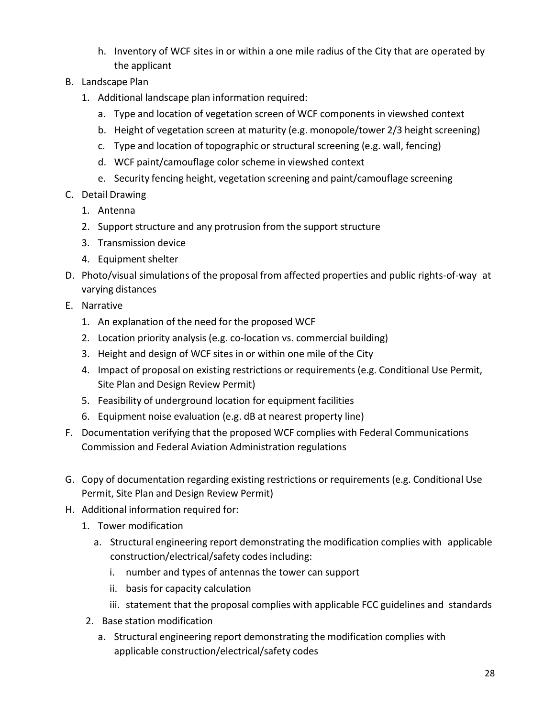- h. Inventory of WCF sites in or within a one mile radius of the City that are operated by the applicant
- B. Landscape Plan
	- 1. Additional landscape plan information required:
		- a. Type and location of vegetation screen of WCF components in viewshed context
		- b. Height of vegetation screen at maturity (e.g. monopole/tower 2/3 height screening)
		- c. Type and location of topographic or structural screening (e.g. wall, fencing)
		- d. WCF paint/camouflage color scheme in viewshed context
		- e. Security fencing height, vegetation screening and paint/camouflage screening
- C. Detail Drawing
	- 1. Antenna
	- 2. Support structure and any protrusion from the support structure
	- 3. Transmission device
	- 4. Equipment shelter
- D. Photo/visual simulations of the proposal from affected properties and public rights-of-way at varying distances
- E. Narrative
	- 1. An explanation of the need for the proposed WCF
	- 2. Location priority analysis (e.g. co-location vs. commercial building)
	- 3. Height and design of WCF sites in or within one mile of the City
	- 4. Impact of proposal on existing restrictions or requirements (e.g. Conditional Use Permit, Site Plan and Design Review Permit)
	- 5. Feasibility of underground location for equipment facilities
	- 6. Equipment noise evaluation (e.g. dB at nearest property line)
- F. Documentation verifying that the proposed WCF complies with Federal Communications Commission and Federal Aviation Administration regulations
- G. Copy of documentation regarding existing restrictions or requirements (e.g. Conditional Use Permit, Site Plan and Design Review Permit)
- H. Additional information required for:
	- 1. Tower modification
		- a. Structural engineering report demonstrating the modification complies with applicable construction/electrical/safety codes including:
			- i. number and types of antennas the tower can support
			- ii. basis for capacity calculation
			- iii. statement that the proposal complies with applicable FCC guidelines and standards
	- 2. Base station modification
		- a. Structural engineering report demonstrating the modification complies with applicable construction/electrical/safety codes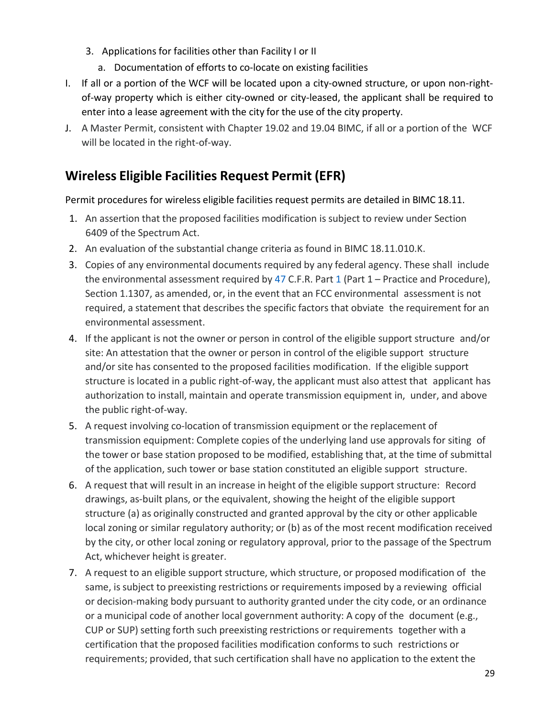- 3. Applications for facilities other than Facility I or II
	- a. Documentation of efforts to co-locate on existing facilities
- I. If all or a portion of the WCF will be located upon a city-owned structure, or upon non-rightof-way property which is either city-owned or city-leased, the applicant shall be required to enter into a lease agreement with the city for the use of the city property.
- J. A Master Permit, consistent with Chapter 19.02 and 19.04 BIMC, if all or a portion of the WCF will be located in the right-of-way.

### **Wireless Eligible Facilities Request Permit (EFR)**

Permit procedures for wireless eligible facilities request permits are detailed in BIMC 18.11.

- 1. An assertion that the proposed facilities modification is subject to review under Section 6409 of the Spectrum Act.
- 2. An evaluation of the substantial change criteria as found in BIMC 18.11.010.K.
- 3. Copies of any environmental documents required by any federal agency. These shall include the environmental assessment required by  $47$  C.F.R. Part  $1$  (Part  $1$  – Practice and Procedure), Section 1.1307, as amended, or, in the event that an FCC environmental assessment is not required, a statement that describes the specific factors that obviate the requirement for an environmental assessment.
- 4. If the applicant is not the owner or person in control of the eligible support structure and/or site: An attestation that the owner or person in control of the eligible support structure and/or site has consented to the proposed facilities modification. If the eligible support structure is located in a public right-of-way, the applicant must also attest that applicant has authorization to install, maintain and operate transmission equipment in, under, and above the public right-of-way.
- 5. A request involving co-location of transmission equipment or the replacement of transmission equipment: Complete copies of the underlying land use approvals for siting of the tower or base station proposed to be modified, establishing that, at the time of submittal of the application, such tower or base station constituted an eligible support structure.
- 6. A request that will result in an increase in height of the eligible support structure: Record drawings, as-built plans, or the equivalent, showing the height of the eligible support structure (a) as originally constructed and granted approval by the city or other applicable local zoning or similar regulatory authority; or (b) as of the most recent modification received by the city, or other local zoning or regulatory approval, prior to the passage of the Spectrum Act, whichever height is greater.
- 7. A request to an eligible support structure, which structure, or proposed modification of the same, is subject to preexisting restrictions or requirements imposed by a reviewing official or decision-making body pursuant to authority granted under the city code, or an ordinance or a municipal code of another local government authority: A copy of the document (e.g., CUP or SUP) setting forth such preexisting restrictions or requirements together with a certification that the proposed facilities modification conforms to such restrictions or requirements; provided, that such certification shall have no application to the extent the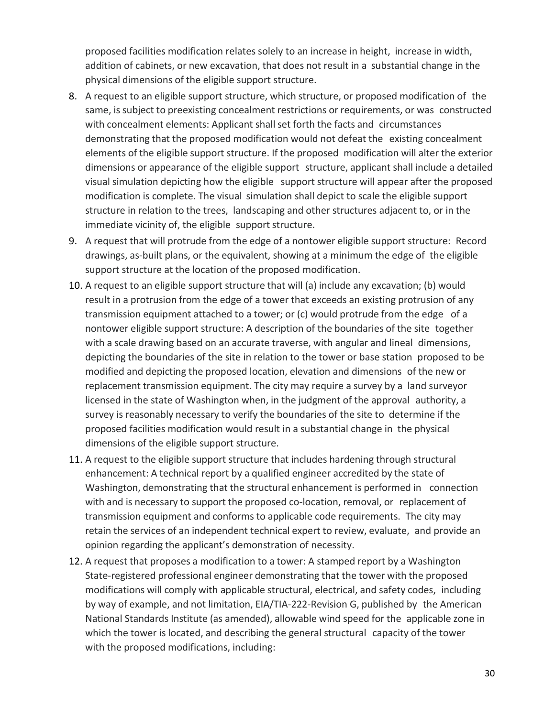proposed facilities modification relates solely to an increase in height, increase in width, addition of cabinets, or new excavation, that does not result in a substantial change in the physical dimensions of the eligible support structure.

- 8. A request to an eligible support structure, which structure, or proposed modification of the same, is subject to preexisting concealment restrictions or requirements, or was constructed with concealment elements: Applicant shall set forth the facts and circumstances demonstrating that the proposed modification would not defeat the existing concealment elements of the eligible support structure. If the proposed modification will alter the exterior dimensions or appearance of the eligible support structure, applicant shall include a detailed visual simulation depicting how the eligible support structure will appear after the proposed modification is complete. The visual simulation shall depict to scale the eligible support structure in relation to the trees, landscaping and other structures adjacent to, or in the immediate vicinity of, the eligible support structure.
- 9. A request that will protrude from the edge of a nontower eligible support structure: Record drawings, as-built plans, or the equivalent, showing at a minimum the edge of the eligible support structure at the location of the proposed modification.
- 10. A request to an eligible support structure that will (a) include any excavation; (b) would result in a protrusion from the edge of a tower that exceeds an existing protrusion of any transmission equipment attached to a tower; or (c) would protrude from the edge of a nontower eligible support structure: A description of the boundaries of the site together with a scale drawing based on an accurate traverse, with angular and lineal dimensions, depicting the boundaries of the site in relation to the tower or base station proposed to be modified and depicting the proposed location, elevation and dimensions of the new or replacement transmission equipment. The city may require a survey by a land surveyor licensed in the state of Washington when, in the judgment of the approval authority, a survey is reasonably necessary to verify the boundaries of the site to determine if the proposed facilities modification would result in a substantial change in the physical dimensions of the eligible support structure.
- 11. A request to the eligible support structure that includes hardening through structural enhancement: A technical report by a qualified engineer accredited by the state of Washington, demonstrating that the structural enhancement is performed in connection with and is necessary to support the proposed co-location, removal, or replacement of transmission equipment and conforms to applicable code requirements. The city may retain the services of an independent technical expert to review, evaluate, and provide an opinion regarding the applicant's demonstration of necessity.
- 12. A request that proposes a modification to a tower: A stamped report by a Washington State-registered professional engineer demonstrating that the tower with the proposed modifications will comply with applicable structural, electrical, and safety codes, including by way of example, and not limitation, EIA/TIA-222-Revision G, published by the American National Standards Institute (as amended), allowable wind speed for the applicable zone in which the tower is located, and describing the general structural capacity of the tower with the proposed modifications, including: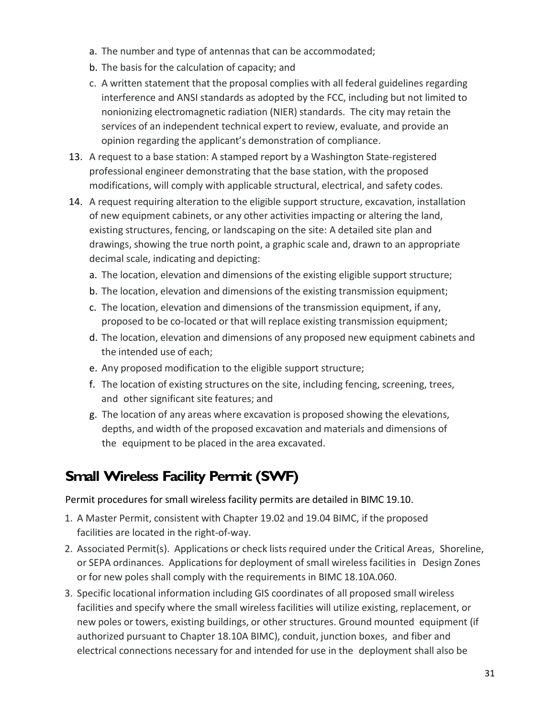- a. The number and type of antennas that can be accommodated;
- b. The basis for the calculation of capacity; and
- c. A written statement that the proposal complies with all federal guidelines regarding interference and ANSI standards as adopted by the FCC, including but not limited to nonionizing electromagnetic radiation (NIER) standards. The city may retain the services of an independent technical expert to review, evaluate, and provide an opinion regarding the applicant's demonstration of compliance.
- 13. A request to a base station: A stamped report by a Washington State-registered professional engineer demonstrating that the base station, with the proposed modifications, will comply with applicable structural, electrical, and safety codes.
- 14. A request requiring alteration to the eligible support structure, excavation, installation of new equipment cabinets, or any other activities impacting or altering the land, existing structures, fencing, or landscaping on the site: A detailed site plan and drawings, showing the true north point, a graphic scale and, drawn to an appropriate decimal scale, indicating and depicting:
	- a. The location, elevation and dimensions of the existing eligible support structure;
	- b. The location, elevation and dimensions of the existing transmission equipment;
	- c. The location, elevation and dimensions of the transmission equipment, if any, proposed to be co-located or that will replace existing transmission equipment;
	- d. The location, elevation and dimensions of any proposed new equipment cabinets and the intended use of each;
	- e. Any proposed modification to the eligible support structure;
	- f. The location of existing structures on the site, including fencing, screening, trees, and other significant site features; and
	- g. The location of any areas where excavation is proposed showing the elevations, depths, and width of the proposed excavation and materials and dimensions of the equipment to be placed in the area excavated.

# **Small Wireless Facility Permit (SWF)**

Permit procedures for small wireless facility permits are detailed in BIMC 19.10.

- 1. A Master Permit, consistent with Chapter 19.02 and 19.04 BIMC, if the proposed facilities are located in the right-of-way.
- 2. Associated Permit(s). Applications or check lists required under the Critical Areas, Shoreline, or SEPA ordinances. Applications for deployment of small wireless facilities in Design Zones or for new poles shall comply with the requirements in BIMC 18.10A.060.
- 3. Specific locational information including GIS coordinates of all proposed small wireless facilities and specify where the small wireless facilities will utilize existing, replacement, or new poles or towers, existing buildings, or other structures. Ground mounted equipment (if authorized pursuant to Chapter 18.10A BIMC), conduit, junction boxes, and fiber and electrical connections necessary for and intended for use in the deployment shall also be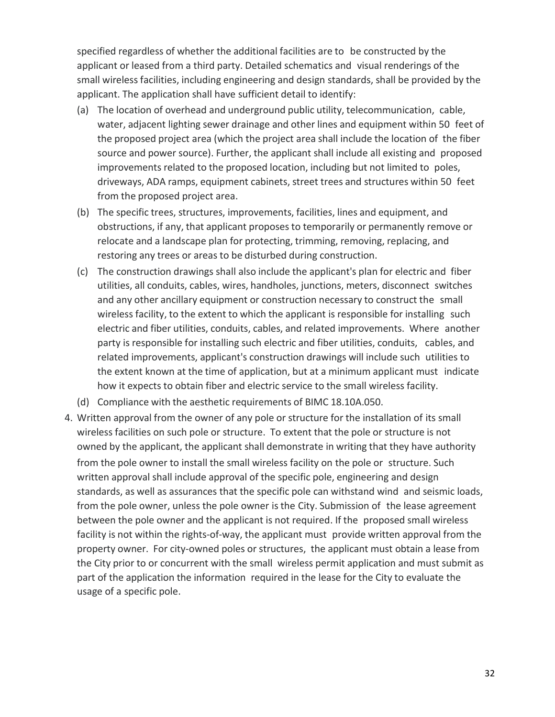specified regardless of whether the additional facilities are to be constructed by the applicant or leased from a third party. Detailed schematics and visual renderings of the small wireless facilities, including engineering and design standards, shall be provided by the applicant. The application shall have sufficient detail to identify:

- (a) The location of overhead and underground public utility, telecommunication, cable, water, adjacent lighting sewer drainage and other lines and equipment within 50 feet of the proposed project area (which the project area shall include the location of the fiber source and power source). Further, the applicant shall include all existing and proposed improvements related to the proposed location, including but not limited to poles, driveways, ADA ramps, equipment cabinets, street trees and structures within 50 feet from the proposed project area.
- (b) The specific trees, structures, improvements, facilities, lines and equipment, and obstructions, if any, that applicant proposes to temporarily or permanently remove or relocate and a landscape plan for protecting, trimming, removing, replacing, and restoring any trees or areas to be disturbed during construction.
- (c) The construction drawings shall also include the applicant's plan for electric and fiber utilities, all conduits, cables, wires, handholes, junctions, meters, disconnect switches and any other ancillary equipment or construction necessary to construct the small wireless facility, to the extent to which the applicant is responsible for installing such electric and fiber utilities, conduits, cables, and related improvements. Where another party is responsible for installing such electric and fiber utilities, conduits, cables, and related improvements, applicant's construction drawings will include such utilities to the extent known at the time of application, but at a minimum applicant must indicate how it expects to obtain fiber and electric service to the small wireless facility.
- (d) Compliance with the aesthetic requirements of BIMC 18.10A.050.
- 4. Written approval from the owner of any pole or structure for the installation of its small wireless facilities on such pole or structure. To extent that the pole or structure is not owned by the applicant, the applicant shall demonstrate in writing that they have authority from the pole owner to install the small wireless facility on the pole or structure. Such written approval shall include approval of the specific pole, engineering and design standards, as well as assurances that the specific pole can withstand wind and seismic loads, from the pole owner, unless the pole owner is the City. Submission of the lease agreement between the pole owner and the applicant is not required. If the proposed small wireless facility is not within the rights-of-way, the applicant must provide written approval from the property owner. For city-owned poles or structures, the applicant must obtain a lease from the City prior to or concurrent with the small wireless permit application and must submit as part of the application the information required in the lease for the City to evaluate the usage of a specific pole.